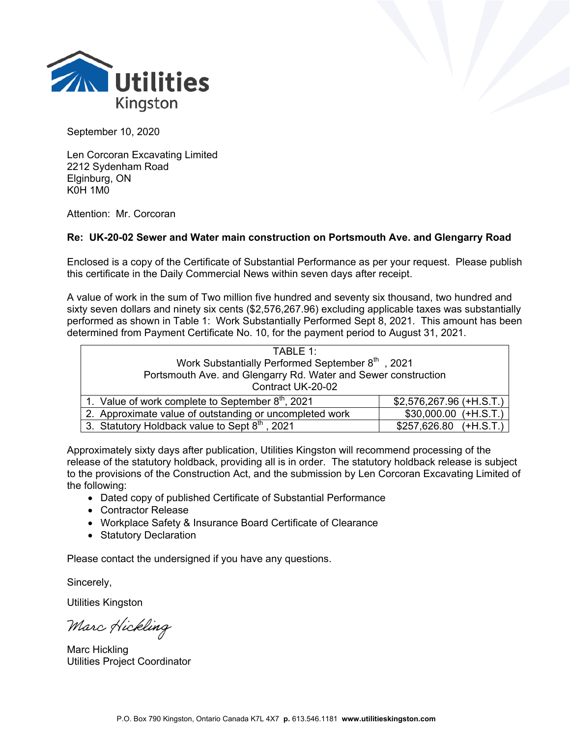

September 10, 2020

Len Corcoran Excavating Limited 2212 Sydenham Road Elginburg, ON K0H 1M0

Attention: Mr. Corcoran

## **Re: UK-20-02 Sewer and Water main construction on Portsmouth Ave. and Glengarry Road**

Enclosed is a copy of the Certificate of Substantial Performance as per your request. Please publish this certificate in the Daily Commercial News within seven days after receipt.

A value of work in the sum of Two million five hundred and seventy six thousand, two hundred and sixty seven dollars and ninety six cents (\$2,576,267.96) excluding applicable taxes was substantially performed as shown in Table 1: Work Substantially Performed Sept 8, 2021. This amount has been determined from Payment Certificate No. 10, for the payment period to August 31, 2021.

| TABLE 1:                                                       |                           |  |
|----------------------------------------------------------------|---------------------------|--|
| Work Substantially Performed September 8th, 2021               |                           |  |
| Portsmouth Ave. and Glengarry Rd. Water and Sewer construction |                           |  |
| Contract UK-20-02                                              |                           |  |
| 1. Value of work complete to September $8th$ , 2021            | $$2,576,267.96 (+H.S.T.)$ |  |
| 2. Approximate value of outstanding or uncompleted work        | $$30,000.00 (+H.S.T.)$    |  |
| 3. Statutory Holdback value to Sept 8th, 2021                  | $$257,626.80$ $(+H.S.T.)$ |  |

Approximately sixty days after publication, Utilities Kingston will recommend processing of the release of the statutory holdback, providing all is in order. The statutory holdback release is subject to the provisions of the Construction Act, and the submission by Len Corcoran Excavating Limited of the following:

- Dated copy of published Certificate of Substantial Performance
- Contractor Release
- Workplace Safety & Insurance Board Certificate of Clearance
- Statutory Declaration

Please contact the undersigned if you have any questions.

Sincerely,

Utilities Kingston

Marc Hickling

Marc Hickling Utilities Project Coordinator